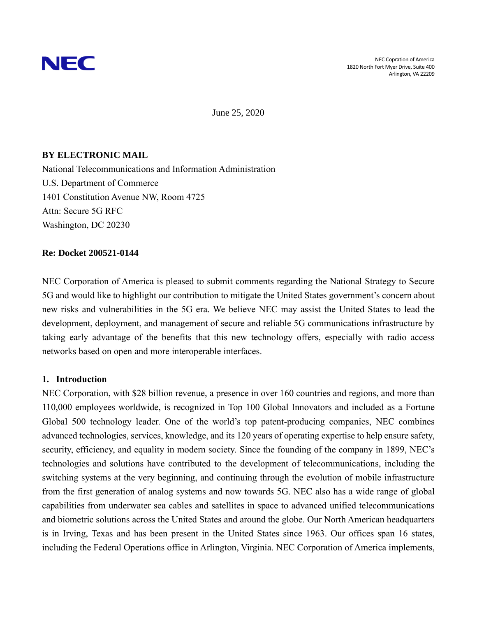

June 25, 2020

## **BY ELECTRONIC MAIL**

National Telecommunications and Information Administration U.S. Department of Commerce 1401 Constitution Avenue NW, Room 4725 Attn: Secure 5G RFC Washington, DC 20230

#### **Re: Docket 200521-0144**

NEC Corporation of America is pleased to submit comments regarding the National Strategy to Secure 5G and would like to highlight our contribution to mitigate the United States government's concern about new risks and vulnerabilities in the 5G era. We believe NEC may assist the United States to lead the development, deployment, and management of secure and reliable 5G communications infrastructure by taking early advantage of the benefits that this new technology offers, especially with radio access networks based on open and more interoperable interfaces.

#### **1. Introduction**

NEC Corporation, with \$28 billion revenue, a presence in over 160 countries and regions, and more than 110,000 employees worldwide, is recognized in Top 100 Global Innovators and included as a Fortune Global 500 technology leader. One of the world's top patent-producing companies, NEC combines advanced technologies, services, knowledge, and its 120 years of operating expertise to help ensure safety, security, efficiency, and equality in modern society. Since the founding of the company in 1899, NEC's technologies and solutions have contributed to the development of telecommunications, including the switching systems at the very beginning, and continuing through the evolution of mobile infrastructure from the first generation of analog systems and now towards 5G. NEC also has a wide range of global capabilities from underwater sea cables and satellites in space to advanced unified telecommunications and biometric solutions across the United States and around the globe. Our North American headquarters is in Irving, Texas and has been present in the United States since 1963. Our offices span 16 states, including the Federal Operations office in Arlington, Virginia. NEC Corporation of America implements,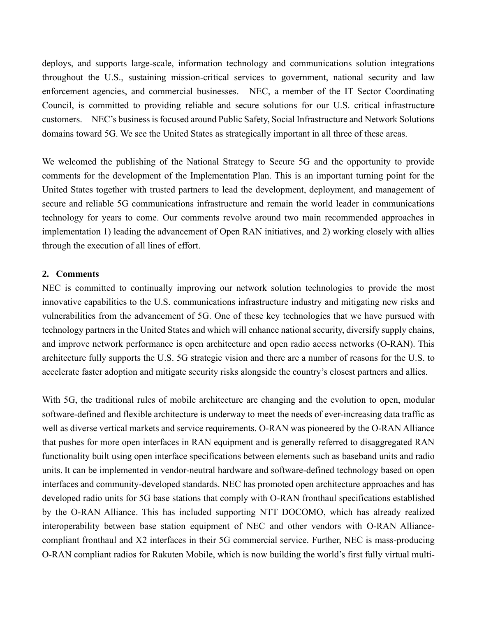deploys, and supports large-scale, information technology and communications solution integrations throughout the U.S., sustaining mission-critical services to government, national security and law enforcement agencies, and commercial businesses. NEC, a member of the IT Sector Coordinating Council, is committed to providing reliable and secure solutions for our U.S. critical infrastructure customers. NEC's business is focused around Public Safety, Social Infrastructure and Network Solutions domains toward 5G. We see the United States as strategically important in all three of these areas.

We welcomed the publishing of the National Strategy to Secure 5G and the opportunity to provide comments for the development of the Implementation Plan. This is an important turning point for the United States together with trusted partners to lead the development, deployment, and management of secure and reliable 5G communications infrastructure and remain the world leader in communications technology for years to come. Our comments revolve around two main recommended approaches in implementation 1) leading the advancement of Open RAN initiatives, and 2) working closely with allies through the execution of all lines of effort.

#### **2. Comments**

NEC is committed to continually improving our network solution technologies to provide the most innovative capabilities to the U.S. communications infrastructure industry and mitigating new risks and vulnerabilities from the advancement of 5G. One of these key technologies that we have pursued with technology partners in the United States and which will enhance national security, diversify supply chains, and improve network performance is open architecture and open radio access networks (O-RAN). This architecture fully supports the U.S. 5G strategic vision and there are a number of reasons for the U.S. to accelerate faster adoption and mitigate security risks alongside the country's closest partners and allies.

With 5G, the traditional rules of mobile architecture are changing and the evolution to open, modular software-defined and flexible architecture is underway to meet the needs of ever-increasing data traffic as well as diverse vertical markets and service requirements. O-RAN was pioneered by the O-RAN Alliance that pushes for more open interfaces in RAN equipment and is generally referred to disaggregated RAN functionality built using open interface specifications between elements such as baseband units and radio units. It can be implemented in vendor-neutral hardware and software-defined technology based on open interfaces and community-developed standards. NEC has promoted open architecture approaches and has developed radio units for 5G base stations that comply with O-RAN fronthaul specifications established by the O-RAN Alliance. This has included supporting NTT DOCOMO, which has already realized interoperability between base station equipment of NEC and other vendors with O-RAN Alliancecompliant fronthaul and X2 interfaces in their 5G commercial service. Further, NEC is mass-producing O-RAN compliant radios for Rakuten Mobile, which is now building the world's first fully virtual multi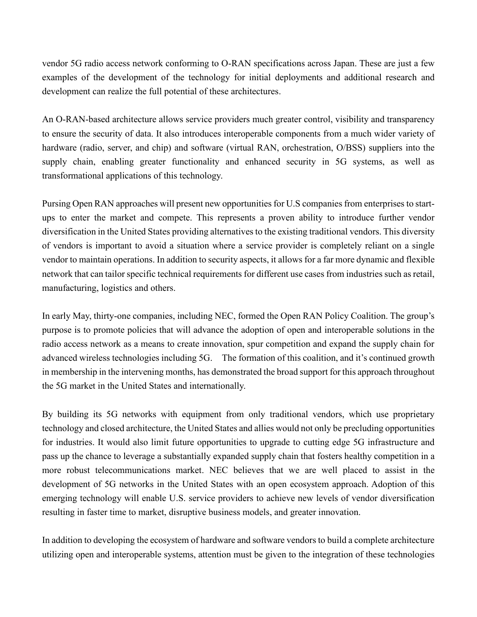vendor 5G radio access network conforming to O-RAN specifications across Japan. These are just a few examples of the development of the technology for initial deployments and additional research and development can realize the full potential of these architectures.

An O-RAN-based architecture allows service providers much greater control, visibility and transparency to ensure the security of data. It also introduces interoperable components from a much wider variety of hardware (radio, server, and chip) and software (virtual RAN, orchestration, O/BSS) suppliers into the supply chain, enabling greater functionality and enhanced security in 5G systems, as well as transformational applications of this technology.

Pursing Open RAN approaches will present new opportunities for U.S companies from enterprises to startups to enter the market and compete. This represents a proven ability to introduce further vendor diversification in the United States providing alternatives to the existing traditional vendors. This diversity of vendors is important to avoid a situation where a service provider is completely reliant on a single vendor to maintain operations. In addition to security aspects, it allows for a far more dynamic and flexible network that can tailor specific technical requirements for different use cases from industries such as retail, manufacturing, logistics and others.

In early May, thirty-one companies, including NEC, formed the Open RAN Policy Coalition. The group's purpose is to promote policies that will advance the adoption of open and interoperable solutions in the radio access network as a means to create innovation, spur competition and expand the supply chain for advanced wireless technologies including 5G. The formation of this coalition, and it's continued growth in membership in the intervening months, has demonstrated the broad support for this approach throughout the 5G market in the United States and internationally.

By building its 5G networks with equipment from only traditional vendors, which use proprietary technology and closed architecture, the United States and allies would not only be precluding opportunities for industries. It would also limit future opportunities to upgrade to cutting edge 5G infrastructure and pass up the chance to leverage a substantially expanded supply chain that fosters healthy competition in a more robust telecommunications market. NEC believes that we are well placed to assist in the development of 5G networks in the United States with an open ecosystem approach. Adoption of this emerging technology will enable U.S. service providers to achieve new levels of vendor diversification resulting in faster time to market, disruptive business models, and greater innovation.

In addition to developing the ecosystem of hardware and software vendors to build a complete architecture utilizing open and interoperable systems, attention must be given to the integration of these technologies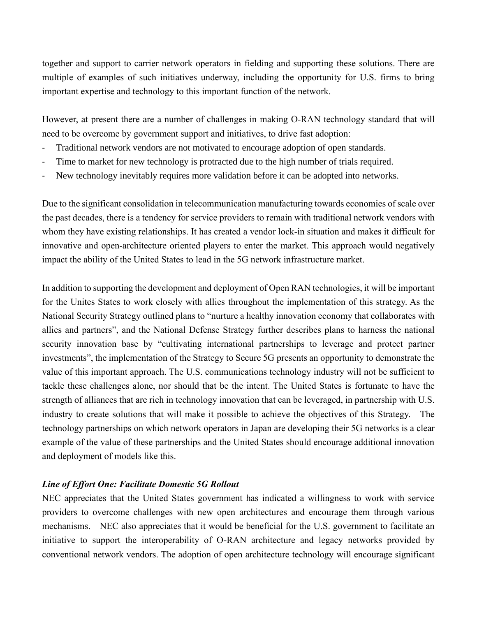together and support to carrier network operators in fielding and supporting these solutions. There are multiple of examples of such initiatives underway, including the opportunity for U.S. firms to bring important expertise and technology to this important function of the network.

However, at present there are a number of challenges in making O-RAN technology standard that will need to be overcome by government support and initiatives, to drive fast adoption:

- Traditional network vendors are not motivated to encourage adoption of open standards.
- Time to market for new technology is protracted due to the high number of trials required.
- New technology inevitably requires more validation before it can be adopted into networks.

Due to the significant consolidation in telecommunication manufacturing towards economies of scale over the past decades, there is a tendency for service providers to remain with traditional network vendors with whom they have existing relationships. It has created a vendor lock-in situation and makes it difficult for innovative and open-architecture oriented players to enter the market. This approach would negatively impact the ability of the United States to lead in the 5G network infrastructure market.

In addition to supporting the development and deployment of Open RAN technologies, it will be important for the Unites States to work closely with allies throughout the implementation of this strategy. As the National Security Strategy outlined plans to "nurture a healthy innovation economy that collaborates with allies and partners", and the National Defense Strategy further describes plans to harness the national security innovation base by "cultivating international partnerships to leverage and protect partner investments", the implementation of the Strategy to Secure 5G presents an opportunity to demonstrate the value of this important approach. The U.S. communications technology industry will not be sufficient to tackle these challenges alone, nor should that be the intent. The United States is fortunate to have the strength of alliances that are rich in technology innovation that can be leveraged, in partnership with U.S. industry to create solutions that will make it possible to achieve the objectives of this Strategy. The technology partnerships on which network operators in Japan are developing their 5G networks is a clear example of the value of these partnerships and the United States should encourage additional innovation and deployment of models like this.

## *Line of Effort One: Facilitate Domestic 5G Rollout*

NEC appreciates that the United States government has indicated a willingness to work with service providers to overcome challenges with new open architectures and encourage them through various mechanisms. NEC also appreciates that it would be beneficial for the U.S. government to facilitate an initiative to support the interoperability of O-RAN architecture and legacy networks provided by conventional network vendors. The adoption of open architecture technology will encourage significant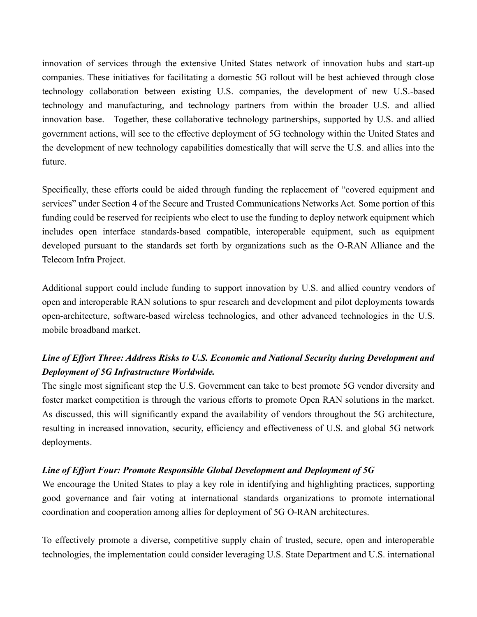innovation of services through the extensive United States network of innovation hubs and start-up companies. These initiatives for facilitating a domestic 5G rollout will be best achieved through close technology collaboration between existing U.S. companies, the development of new U.S.-based technology and manufacturing, and technology partners from within the broader U.S. and allied innovation base. Together, these collaborative technology partnerships, supported by U.S. and allied government actions, will see to the effective deployment of 5G technology within the United States and the development of new technology capabilities domestically that will serve the U.S. and allies into the future.

Specifically, these efforts could be aided through funding the replacement of "covered equipment and services" under Section 4 of the Secure and Trusted Communications Networks Act. Some portion of this funding could be reserved for recipients who elect to use the funding to deploy network equipment which includes open interface standards-based compatible, interoperable equipment, such as equipment developed pursuant to the standards set forth by organizations such as the O-RAN Alliance and the Telecom Infra Project.

Additional support could include funding to support innovation by U.S. and allied country vendors of open and interoperable RAN solutions to spur research and development and pilot deployments towards open-architecture, software-based wireless technologies, and other advanced technologies in the U.S. mobile broadband market.

# *Line of Effort Three: Address Risks to U.S. Economic and National Security during Development and Deployment of 5G Infrastructure Worldwide.*

The single most significant step the U.S. Government can take to best promote 5G vendor diversity and foster market competition is through the various efforts to promote Open RAN solutions in the market. As discussed, this will significantly expand the availability of vendors throughout the 5G architecture, resulting in increased innovation, security, efficiency and effectiveness of U.S. and global 5G network deployments.

## *Line of Effort Four: Promote Responsible Global Development and Deployment of 5G*

We encourage the United States to play a key role in identifying and highlighting practices, supporting good governance and fair voting at international standards organizations to promote international coordination and cooperation among allies for deployment of 5G O-RAN architectures.

To effectively promote a diverse, competitive supply chain of trusted, secure, open and interoperable technologies, the implementation could consider leveraging U.S. State Department and U.S. international